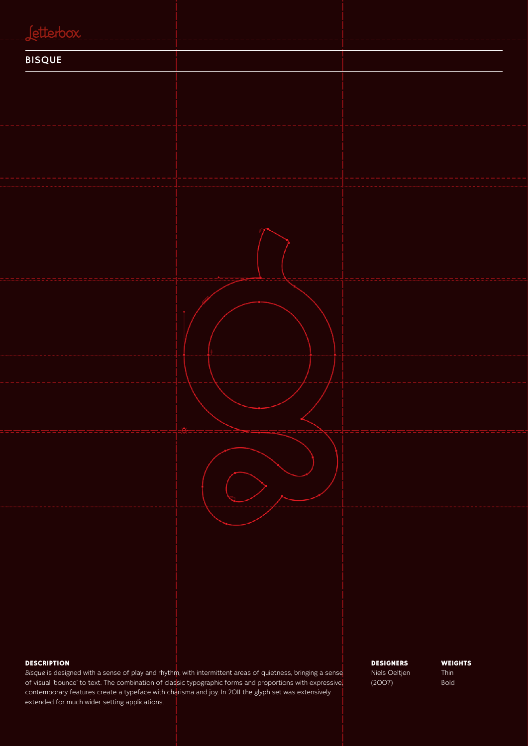# tterbo BISQUE

### **DESCRIPTION**

*Bisque* is designed with a sense of play and rhythm, with intermittent areas of quietness, bringing a sense of visual 'bounce' to text. The combination of classic typographic forms and proportions with expressive, contemporary features create a typeface with charisma and joy. In 2011 the glyph set was extensively extended for much wider setting applications.

DESIGNERS Niels Oeltjen (2007)

**WEIGHTS** Thin Bold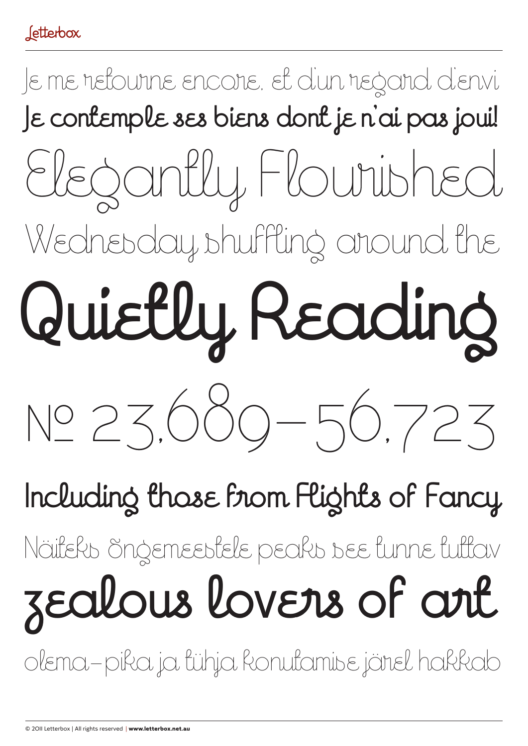# Je me retourne encore, et d'un regard d'envi **Je contemple ses biens dont je n'ai pas joui!**  Wednesday shuffling around the Elegantly Flourished � 23,689 – 56,723 **Quietly Reading**

# Näiteks õngemeestele peaks see tunne tuttav **Including those from Flights of Fancy**

# **zealous lovers of art**

olema – pika ja tühja konutamise järel hakkab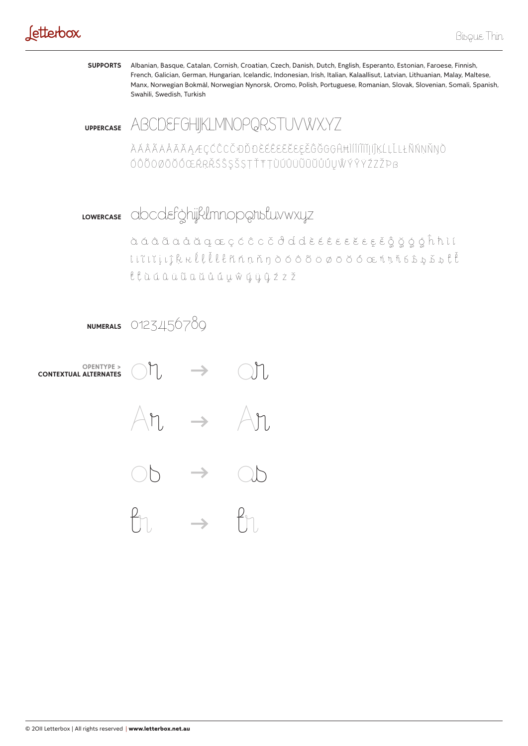## Jetterbox

**SUPPORTS** Albanian, Basque, Catalan, Cornish, Croatian, Czech, Danish, Dutch, English, Esperanto, Estonian, Faroese, Finnish, French, Galician, German, Hungarian, Icelandic, Indonesian, Irish, Italian, Kalaallisut, Latvian, Lithuanian, Malay, Maltese, Manx, Norwegian Bokmål, Norwegian Nynorsk, Oromo, Polish, Portuguese, Romanian, Slovak, Slovenian, Somali, Spanish, Swahili, Swedish, Turkish

**UPPERCASE** ABCDEFGHIKLMNOPQRSTUVWXYZ

ĂĂÂÃÄĂĂĀĂĄÆÇĆĈĊČĐĎĐĔĔĔĔĔĔĔĔĔĞĞĞĞĞĤĦĬĬĨĨĬĬĬĬĬĶĹĻĽĿŁÑŃŅŇŊŎ ÓÔŎÖØŌŎÓŒŔRŘŚŜSŠSTŤŦŢÙÚŮŮŨŨŮŮŮŮŴÝŶŸŹŻŽPB

### LOWERCASE abcdefghijklmnoperustuvwxyz

ii lii li kulllennnnooddoodd cunnist th *ttuanuuduuwquytzž*